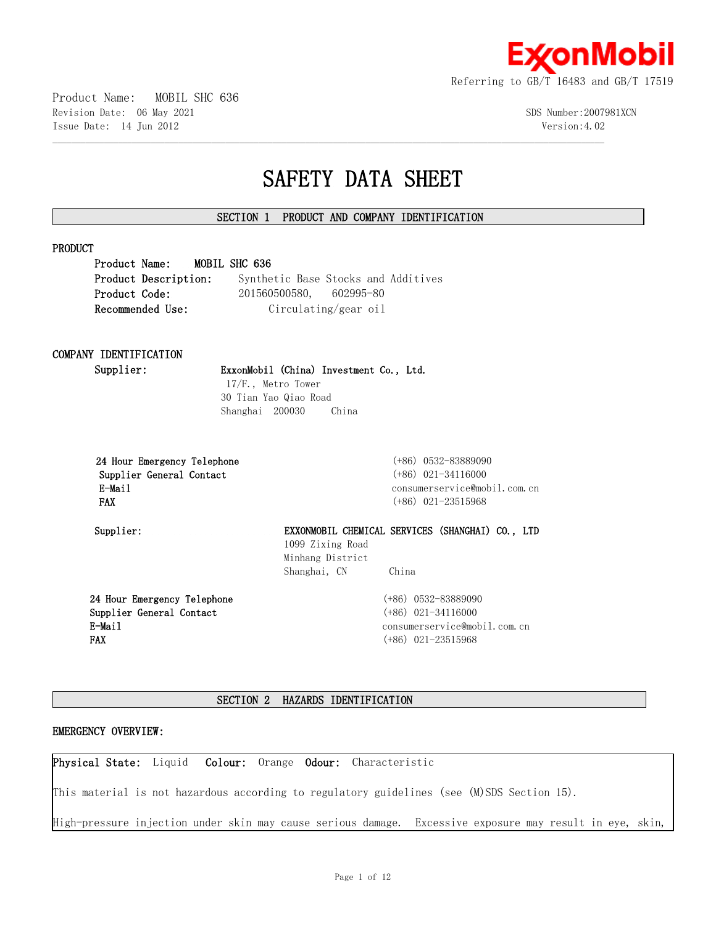

Product Name: MOBIL SHC 636 Revision Date: 06 May 2021 SDS Number:2007981XCN Issue Date: 14 Jun 2012 Version:4.02

# **SAFETY DATA SHEET**

# **SECTION 1 PRODUCT AND COMPANY IDENTIFICATION**

 $\mathcal{L} = \{ \mathcal{L} = \{ \mathcal{L} = \{ \mathcal{L} = \{ \mathcal{L} = \{ \mathcal{L} = \{ \mathcal{L} = \{ \mathcal{L} = \{ \mathcal{L} = \{ \mathcal{L} = \{ \mathcal{L} = \{ \mathcal{L} = \{ \mathcal{L} = \{ \mathcal{L} = \{ \mathcal{L} = \{ \mathcal{L} = \{ \mathcal{L} = \{ \mathcal{L} = \{ \mathcal{L} = \{ \mathcal{L} = \{ \mathcal{L} = \{ \mathcal{L} = \{ \mathcal{L} = \{ \mathcal{L} = \{ \mathcal{$ 

| <b>PRODUCT</b>                 |                                                                      |
|--------------------------------|----------------------------------------------------------------------|
| MOBIL SHC 636<br>Product Name: |                                                                      |
| Product Description:           | Synthetic Base Stocks and Additives                                  |
| Product Code:                  | 201560500580, 602995-80                                              |
| Recommended Use:               | Circulating/gear oil                                                 |
| COMPANY IDENTIFICATION         |                                                                      |
| Supplier:                      | ExxonMobil (China) Investment Co., Ltd.                              |
| $17/F.$ , Metro Tower          |                                                                      |
|                                | 30 Tian Yao Qiao Road                                                |
| Shanghai 200030                | China                                                                |
| 24 Hour Emergency Telephone    | $(+86)$ 0532-83889090                                                |
| Supplier General Contact       | $(+86)$ 021-34116000                                                 |
| E-Mail                         | consumerservice@mobil.com.cn                                         |
| <b>FAX</b>                     | $(+86)$ 021-23515968                                                 |
| Supplier:                      | EXXONMOBIL CHEMICAL SERVICES (SHANGHAI) CO., LTD<br>1099 Zixing Road |
|                                | Minhang District                                                     |
|                                | Shanghai, CN<br>China                                                |
| 24 Hour Emergency Telephone    | $(+86)$ 0532-83889090                                                |

**24 Hour Emergency Telephone Supplier General Contact E-Mail FAX**

(+86) 0532-83889090 (+86) 021-34116000 consumerservice@mobil.com.cn (+86) 021-23515968

# **SECTION 2 HAZARDS IDENTIFICATION**

# **EMERGENCY OVERVIEW:**

**Physical State:** Liquid **Colour:** Orange **Odour:** Characteristic

This material is not hazardous according to regulatory guidelines (see (M)SDS Section 15).

High-pressure injection under skin may cause serious damage. Excessive exposure may result in eye, skin,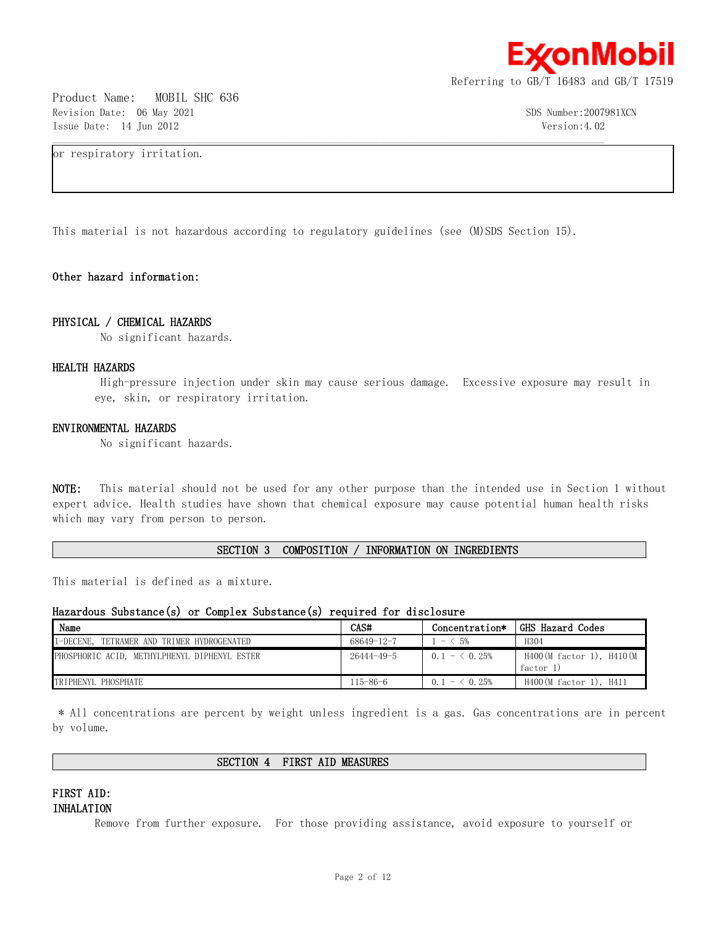

Product Name: MOBIL SHC 636 Revision Date: 06 May 2021 3DS Number:2007981XCN Issue Date: 14 Jun 2012 Version:4.02

or respiratory irritation.

This material is not hazardous according to regulatory guidelines (see (M)SDS Section 15).

 $\mathcal{L} = \{ \mathcal{L} = \{ \mathcal{L} = \{ \mathcal{L} = \{ \mathcal{L} = \{ \mathcal{L} = \{ \mathcal{L} = \{ \mathcal{L} = \{ \mathcal{L} = \{ \mathcal{L} = \{ \mathcal{L} = \{ \mathcal{L} = \{ \mathcal{L} = \{ \mathcal{L} = \{ \mathcal{L} = \{ \mathcal{L} = \{ \mathcal{L} = \{ \mathcal{L} = \{ \mathcal{L} = \{ \mathcal{L} = \{ \mathcal{L} = \{ \mathcal{L} = \{ \mathcal{L} = \{ \mathcal{L} = \{ \mathcal{$ 

# **Other hazard information:**

#### **PHYSICAL / CHEMICAL HAZARDS**

No significant hazards.

#### **HEALTH HAZARDS**

 High-pressure injection under skin may cause serious damage. Excessive exposure may result in eye, skin, or respiratory irritation.

#### **ENVIRONMENTAL HAZARDS**

No significant hazards.

**NOTE:** This material should not be used for any other purpose than the intended use in Section 1 without expert advice. Health studies have shown that chemical exposure may cause potential human health risks which may vary from person to person.

#### **SECTION 3 COMPOSITION / INFORMATION ON INGREDIENTS**

This material is defined as a mixture.

# **Hazardous Substance(s) or Complex Substance(s) required for disclosure**

| Name                                              | CAS#             | Concentration*            | GHS Hazard Codes                      |
|---------------------------------------------------|------------------|---------------------------|---------------------------------------|
| $1 -$ DECENE.<br>TETRAMER AND TRIMER HYDROGENATED | 68649-12-7       | ← 5%<br>$\qquad \qquad -$ | H304                                  |
| PHOSPHORIC ACID, METHYLPHENYL DIPHENYL ESTER      | $26444 - 49 - 5$ | $0.1 - 6.25\%$            | H400(M factor 1), H410(M<br>factor 1) |
| <b>TRIPHENYL PHOSPHATE</b>                        | 115-86-6         | $ \leq$ 0.25%             | $H400(M$ factor 1), $H411$            |

 \* All concentrations are percent by weight unless ingredient is a gas. Gas concentrations are in percent by volume.

#### **SECTION 4 FIRST AID MEASURES**

# **FIRST AID: INHALATION**

Remove from further exposure. For those providing assistance, avoid exposure to yourself or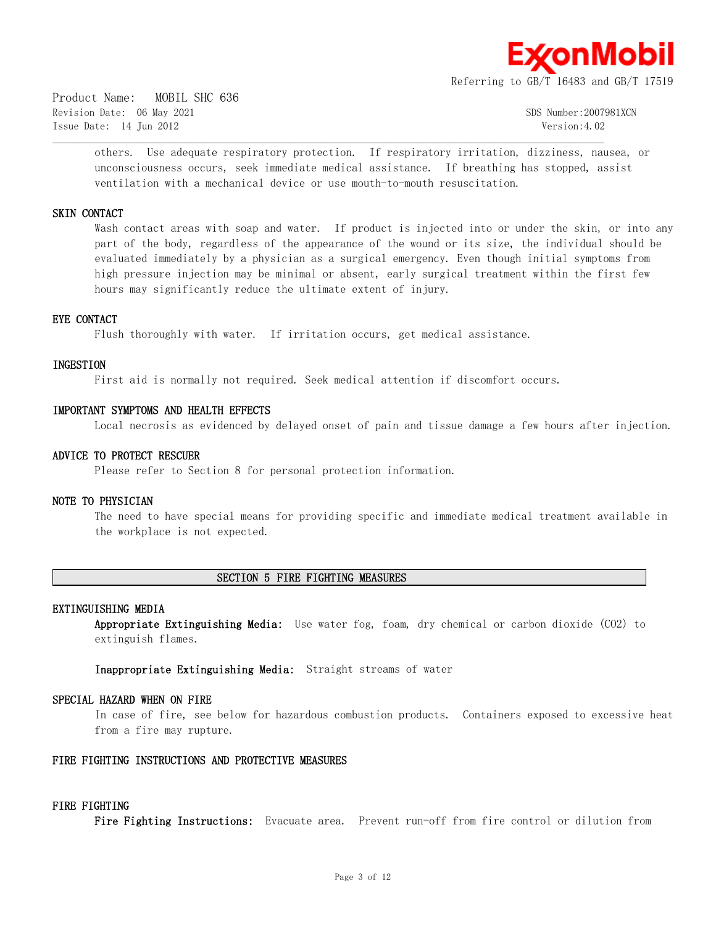

Product Name: MOBIL SHC 636 Revision Date: 06 May 2021 SDS Number:2007981XCN Issue Date: 14 Jun 2012 Version:4.02

others. Use adequate respiratory protection. If respiratory irritation, dizziness, nausea, or unconsciousness occurs, seek immediate medical assistance. If breathing has stopped, assist ventilation with a mechanical device or use mouth-to-mouth resuscitation.

#### **SKIN CONTACT**

Wash contact areas with soap and water. If product is injected into or under the skin, or into any part of the body, regardless of the appearance of the wound or its size, the individual should be evaluated immediately by a physician as a surgical emergency. Even though initial symptoms from high pressure injection may be minimal or absent, early surgical treatment within the first few hours may significantly reduce the ultimate extent of injury.

#### **EYE CONTACT**

Flush thoroughly with water. If irritation occurs, get medical assistance.

#### **INGESTION**

First aid is normally not required. Seek medical attention if discomfort occurs.

 $\mathcal{L} = \{ \mathcal{L} = \{ \mathcal{L} = \{ \mathcal{L} = \{ \mathcal{L} = \{ \mathcal{L} = \{ \mathcal{L} = \{ \mathcal{L} = \{ \mathcal{L} = \{ \mathcal{L} = \{ \mathcal{L} = \{ \mathcal{L} = \{ \mathcal{L} = \{ \mathcal{L} = \{ \mathcal{L} = \{ \mathcal{L} = \{ \mathcal{L} = \{ \mathcal{L} = \{ \mathcal{L} = \{ \mathcal{L} = \{ \mathcal{L} = \{ \mathcal{L} = \{ \mathcal{L} = \{ \mathcal{L} = \{ \mathcal{$ 

#### **IMPORTANT SYMPTOMS AND HEALTH EFFECTS**

Local necrosis as evidenced by delayed onset of pain and tissue damage a few hours after injection.

#### **ADVICE TO PROTECT RESCUER**

Please refer to Section 8 for personal protection information.

# **NOTE TO PHYSICIAN**

The need to have special means for providing specific and immediate medical treatment available in the workplace is not expected.

# **SECTION 5 FIRE FIGHTING MEASURES**

#### **EXTINGUISHING MEDIA**

**Appropriate Extinguishing Media:** Use water fog, foam, dry chemical or carbon dioxide (CO2) to extinguish flames.

**Inappropriate Extinguishing Media:** Straight streams of water

#### **SPECIAL HAZARD WHEN ON FIRE**

In case of fire, see below for hazardous combustion products. Containers exposed to excessive heat from a fire may rupture.

#### **FIRE FIGHTING INSTRUCTIONS AND PROTECTIVE MEASURES**

#### **FIRE FIGHTING**

**Fire Fighting Instructions:** Evacuate area. Prevent run-off from fire control or dilution from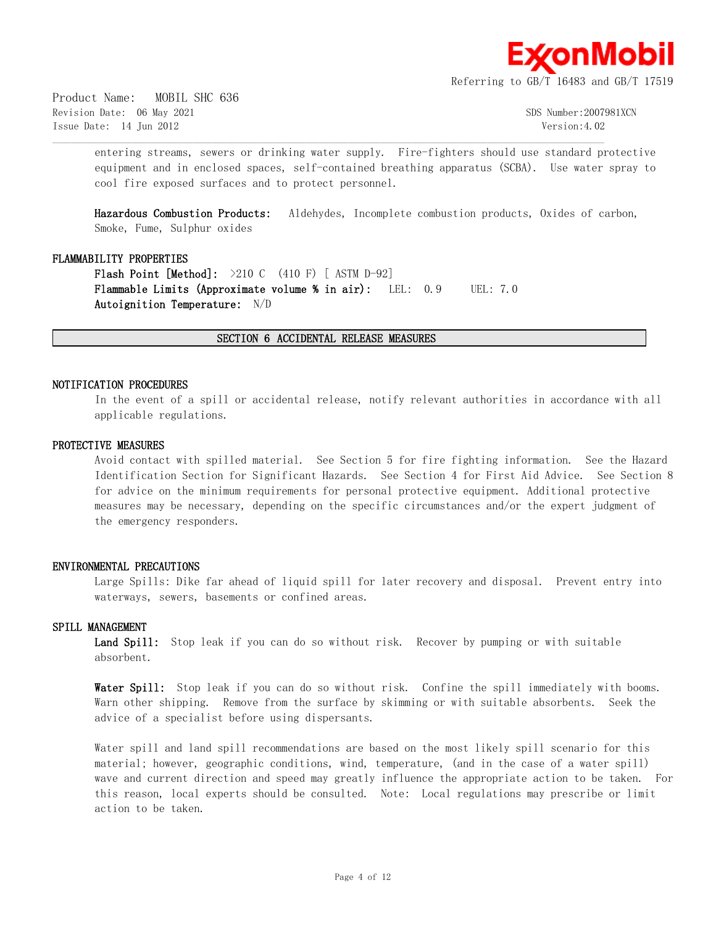

Product Name: MOBIL SHC 636 Revision Date: 06 May 2021 SDS Number:2007981XCN Issue Date: 14 Jun 2012 Version:4.02

entering streams, sewers or drinking water supply. Fire-fighters should use standard protective equipment and in enclosed spaces, self-contained breathing apparatus (SCBA). Use water spray to cool fire exposed surfaces and to protect personnel.

**Hazardous Combustion Products:** Aldehydes, Incomplete combustion products, Oxides of carbon, Smoke, Fume, Sulphur oxides

#### **FLAMMABILITY PROPERTIES**

**Flash Point [Method]:** >210 C (410 F) [ ASTM D-92] **Flammable Limits (Approximate volume % in air):** LEL: 0.9 UEL: 7.0 **Autoignition Temperature:** N/D

# **SECTION 6 ACCIDENTAL RELEASE MEASURES**

 $\mathcal{L} = \{ \mathcal{L} = \{ \mathcal{L} = \{ \mathcal{L} = \{ \mathcal{L} = \{ \mathcal{L} = \{ \mathcal{L} = \{ \mathcal{L} = \{ \mathcal{L} = \{ \mathcal{L} = \{ \mathcal{L} = \{ \mathcal{L} = \{ \mathcal{L} = \{ \mathcal{L} = \{ \mathcal{L} = \{ \mathcal{L} = \{ \mathcal{L} = \{ \mathcal{L} = \{ \mathcal{L} = \{ \mathcal{L} = \{ \mathcal{L} = \{ \mathcal{L} = \{ \mathcal{L} = \{ \mathcal{L} = \{ \mathcal{$ 

#### **NOTIFICATION PROCEDURES**

In the event of a spill or accidental release, notify relevant authorities in accordance with all applicable regulations.

#### **PROTECTIVE MEASURES**

Avoid contact with spilled material. See Section 5 for fire fighting information. See the Hazard Identification Section for Significant Hazards. See Section 4 for First Aid Advice. See Section 8 for advice on the minimum requirements for personal protective equipment. Additional protective measures may be necessary, depending on the specific circumstances and/or the expert judgment of the emergency responders.

#### **ENVIRONMENTAL PRECAUTIONS**

Large Spills: Dike far ahead of liquid spill for later recovery and disposal. Prevent entry into waterways, sewers, basements or confined areas.

#### **SPILL MANAGEMENT**

**Land Spill:** Stop leak if you can do so without risk. Recover by pumping or with suitable absorbent.

Water Spill: Stop leak if you can do so without risk. Confine the spill immediately with booms. Warn other shipping. Remove from the surface by skimming or with suitable absorbents. Seek the advice of a specialist before using dispersants.

Water spill and land spill recommendations are based on the most likely spill scenario for this material; however, geographic conditions, wind, temperature, (and in the case of a water spill) wave and current direction and speed may greatly influence the appropriate action to be taken. For this reason, local experts should be consulted. Note: Local regulations may prescribe or limit action to be taken.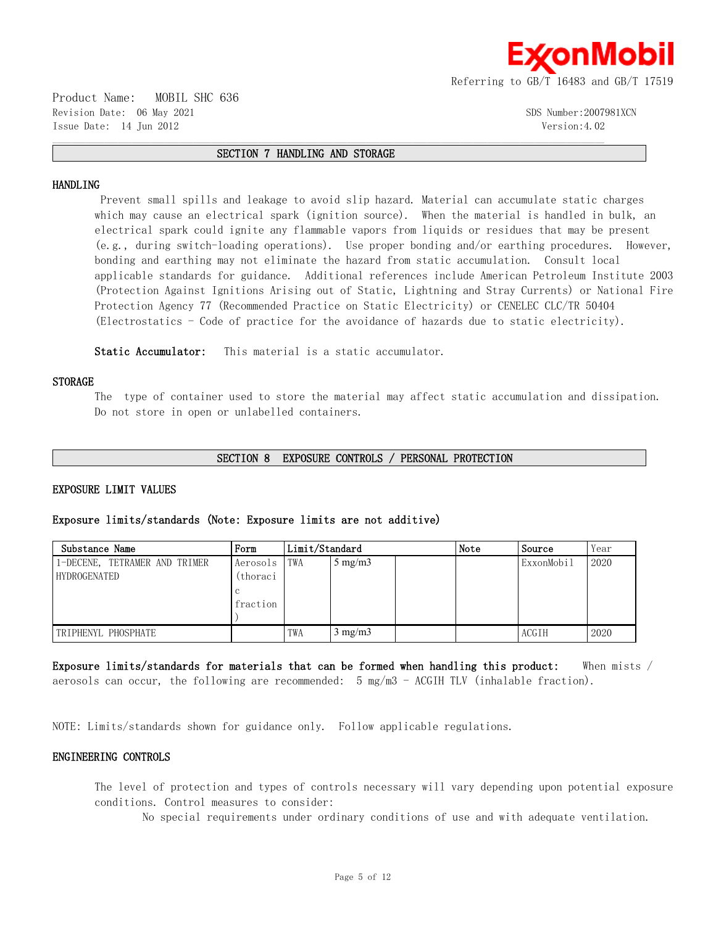

Product Name: MOBIL SHC 636 Revision Date: 06 May 2021 300 Supplement of the Supplement of the Supplement of Supplement Supplement of Supplement Supplement Supplement Supplement Supplement Supplement Supplement Supplement Supplement Supplement Supple Issue Date: 14 Jun 2012 Version:4.02

#### **SECTION 7 HANDLING AND STORAGE**

 $\mathcal{L} = \{ \mathcal{L} = \{ \mathcal{L} = \{ \mathcal{L} = \{ \mathcal{L} = \{ \mathcal{L} = \{ \mathcal{L} = \{ \mathcal{L} = \{ \mathcal{L} = \{ \mathcal{L} = \{ \mathcal{L} = \{ \mathcal{L} = \{ \mathcal{L} = \{ \mathcal{L} = \{ \mathcal{L} = \{ \mathcal{L} = \{ \mathcal{L} = \{ \mathcal{L} = \{ \mathcal{L} = \{ \mathcal{L} = \{ \mathcal{L} = \{ \mathcal{L} = \{ \mathcal{L} = \{ \mathcal{L} = \{ \mathcal{$ 

#### **HANDLING**

 Prevent small spills and leakage to avoid slip hazard. Material can accumulate static charges which may cause an electrical spark (ignition source). When the material is handled in bulk, an electrical spark could ignite any flammable vapors from liquids or residues that may be present (e.g., during switch-loading operations). Use proper bonding and/or earthing procedures. However, bonding and earthing may not eliminate the hazard from static accumulation. Consult local applicable standards for guidance. Additional references include American Petroleum Institute 2003 (Protection Against Ignitions Arising out of Static, Lightning and Stray Currents) or National Fire Protection Agency 77 (Recommended Practice on Static Electricity) or CENELEC CLC/TR 50404 (Electrostatics - Code of practice for the avoidance of hazards due to static electricity).

**Static Accumulator:** This material is a static accumulator.

#### **STORAGE**

The type of container used to store the material may affect static accumulation and dissipation. Do not store in open or unlabelled containers.

#### **SECTION 8 EXPOSURE CONTROLS / PERSONAL PROTECTION**

# **EXPOSURE LIMIT VALUES**

#### **Exposure limits/standards (Note: Exposure limits are not additive)**

| Substance Name                                | Form                             | Limit/Standard |                  | Note | Source | Year       |      |
|-----------------------------------------------|----------------------------------|----------------|------------------|------|--------|------------|------|
| 1-DECENE, TETRAMER AND TRIMER<br>HYDROGENATED | Aerosols<br>(thoraci<br>fraction | TWA            | $5 \text{ mg/m}$ |      |        | ExxonMobil | 2020 |
| TRIPHENYL PHOSPHATE                           |                                  | TWA            | $3 \text{ mg/m}$ |      |        | ACGIH      | 2020 |

**Exposure limits/standards for materials that can be formed when handling this product:** When mists / aerosols can occur, the following are recommended:  $5 \text{ mg/m}$  - ACGIH TLV (inhalable fraction).

NOTE: Limits/standards shown for guidance only. Follow applicable regulations.

#### **ENGINEERING CONTROLS**

The level of protection and types of controls necessary will vary depending upon potential exposure conditions. Control measures to consider:

No special requirements under ordinary conditions of use and with adequate ventilation.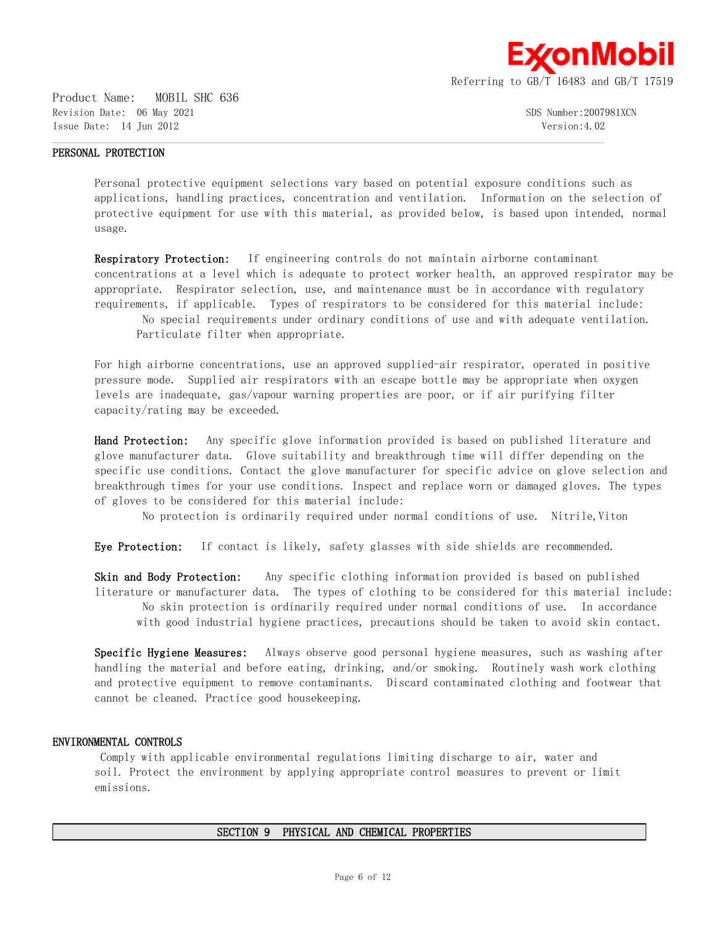

Product Name: MOBIL SHC 636 Revision Date: 06 May 2021 SDS Number:2007981XCN Issue Date: 14 Jun 2012 Version:4.02

#### **PERSONAL PROTECTION**

Personal protective equipment selections vary based on potential exposure conditions such as applications, handling practices, concentration and ventilation. Information on the selection of protective equipment for use with this material, as provided below, is based upon intended, normal usage.

 $\mathcal{L} = \{ \mathcal{L} = \{ \mathcal{L} = \{ \mathcal{L} = \{ \mathcal{L} = \{ \mathcal{L} = \{ \mathcal{L} = \{ \mathcal{L} = \{ \mathcal{L} = \{ \mathcal{L} = \{ \mathcal{L} = \{ \mathcal{L} = \{ \mathcal{L} = \{ \mathcal{L} = \{ \mathcal{L} = \{ \mathcal{L} = \{ \mathcal{L} = \{ \mathcal{L} = \{ \mathcal{L} = \{ \mathcal{L} = \{ \mathcal{L} = \{ \mathcal{L} = \{ \mathcal{L} = \{ \mathcal{L} = \{ \mathcal{$ 

**Respiratory Protection:** If engineering controls do not maintain airborne contaminant concentrations at a level which is adequate to protect worker health, an approved respirator may be appropriate. Respirator selection, use, and maintenance must be in accordance with regulatory requirements, if applicable. Types of respirators to be considered for this material include:

 No special requirements under ordinary conditions of use and with adequate ventilation. Particulate filter when appropriate.

For high airborne concentrations, use an approved supplied-air respirator, operated in positive pressure mode. Supplied air respirators with an escape bottle may be appropriate when oxygen levels are inadequate, gas/vapour warning properties are poor, or if air purifying filter capacity/rating may be exceeded.

**Hand Protection:** Any specific glove information provided is based on published literature and glove manufacturer data. Glove suitability and breakthrough time will differ depending on the specific use conditions. Contact the glove manufacturer for specific advice on glove selection and breakthrough times for your use conditions. Inspect and replace worn or damaged gloves. The types of gloves to be considered for this material include:

No protection is ordinarily required under normal conditions of use. Nitrile, Viton

**Eye Protection:** If contact is likely, safety glasses with side shields are recommended.

**Skin and Body Protection:** Any specific clothing information provided is based on published literature or manufacturer data. The types of clothing to be considered for this material include: No skin protection is ordinarily required under normal conditions of use. In accordance with good industrial hygiene practices, precautions should be taken to avoid skin contact.

**Specific Hygiene Measures:** Always observe good personal hygiene measures, such as washing after handling the material and before eating, drinking, and/or smoking. Routinely wash work clothing and protective equipment to remove contaminants. Discard contaminated clothing and footwear that cannot be cleaned. Practice good housekeeping.

#### **ENVIRONMENTAL CONTROLS**

 Comply with applicable environmental regulations limiting discharge to air, water and soil. Protect the environment by applying appropriate control measures to prevent or limit emissions.

# **SECTION 9 PHYSICAL AND CHEMICAL PROPERTIES**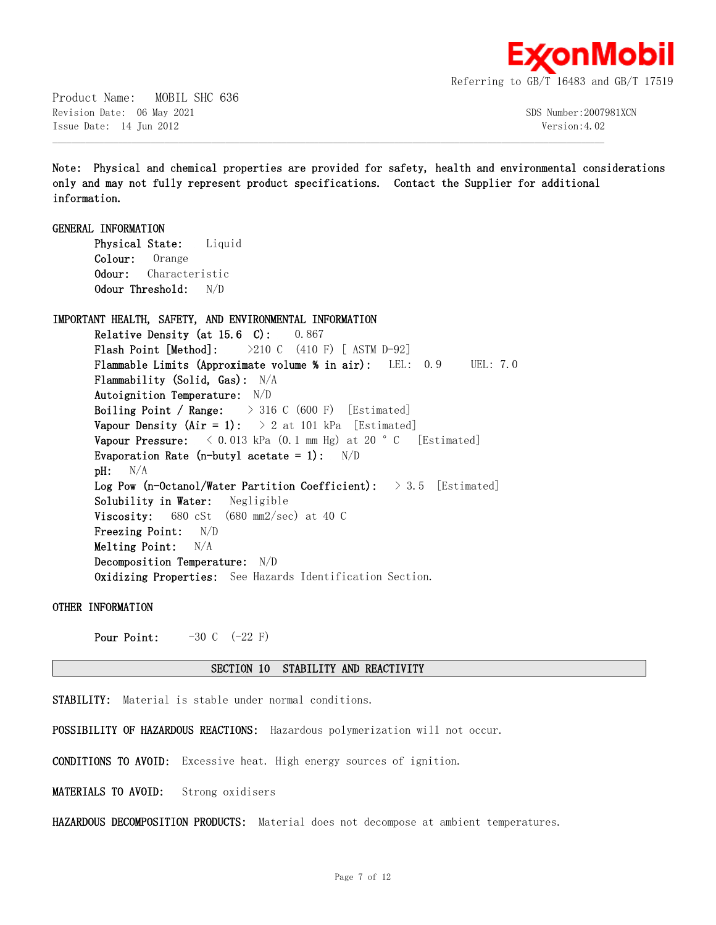

Product Name: MOBIL SHC 636 Revision Date: 06 May 2021 300 Sumber:2007981XCN Issue Date: 14 Jun 2012 Version:4.02

**Note: Physical and chemical properties are provided for safety, health and environmental considerations only and may not fully represent product specifications. Contact the Supplier for additional information.**

 $\mathcal{L} = \{ \mathcal{L} = \{ \mathcal{L} = \{ \mathcal{L} = \{ \mathcal{L} = \{ \mathcal{L} = \{ \mathcal{L} = \{ \mathcal{L} = \{ \mathcal{L} = \{ \mathcal{L} = \{ \mathcal{L} = \{ \mathcal{L} = \{ \mathcal{L} = \{ \mathcal{L} = \{ \mathcal{L} = \{ \mathcal{L} = \{ \mathcal{L} = \{ \mathcal{L} = \{ \mathcal{L} = \{ \mathcal{L} = \{ \mathcal{L} = \{ \mathcal{L} = \{ \mathcal{L} = \{ \mathcal{L} = \{ \mathcal{$ 

**GENERAL INFORMATION Physical State:** Liquid **Colour:** Orange **Odour:** Characteristic **Odour Threshold:** N/D

**IMPORTANT HEALTH, SAFETY, AND ENVIRONMENTAL INFORMATION**

**Relative Density (at 15.6 C):** 0.867 **Flash Point [Method]:** >210 C (410 F) [ ASTM D-92] **Flammable Limits (Approximate volume % in air):** LEL: 0.9 UEL: 7.0 **Flammability (Solid, Gas):** N/A **Autoignition Temperature:** N/D **Boiling Point / Range:** > 316 C (600 F) [Estimated] **Vapour Density (Air = 1):**  $> 2$  at 101 kPa [Estimated] **Vapour Pressure:**  $\langle 0.013 \text{ kPa} (0.1 \text{ mm Hg}) \text{ at } 20 \text{ °C}$  [Estimated] **Evaporation Rate (n-butyl acetate = 1):** N/D **pH:** N/A **Log Pow (n-Octanol/Water Partition Coefficient):** > 3.5 [Estimated] **Solubility in Water:** Negligible **Viscosity:** 680 cSt (680 mm2/sec) at 40 C **Freezing Point:** N/D **Melting Point:** N/A **Decomposition Temperature:** N/D **Oxidizing Properties:** See Hazards Identification Section.

**OTHER INFORMATION**

**Pour Point:**  $-30 \text{ C} \quad (-22 \text{ F})$ 

#### **SECTION 10 STABILITY AND REACTIVITY**

**STABILITY:** Material is stable under normal conditions.

**POSSIBILITY OF HAZARDOUS REACTIONS:** Hazardous polymerization will not occur.

**CONDITIONS TO AVOID:** Excessive heat. High energy sources of ignition.

**MATERIALS TO AVOID:** Strong oxidisers

**HAZARDOUS DECOMPOSITION PRODUCTS:** Material does not decompose at ambient temperatures.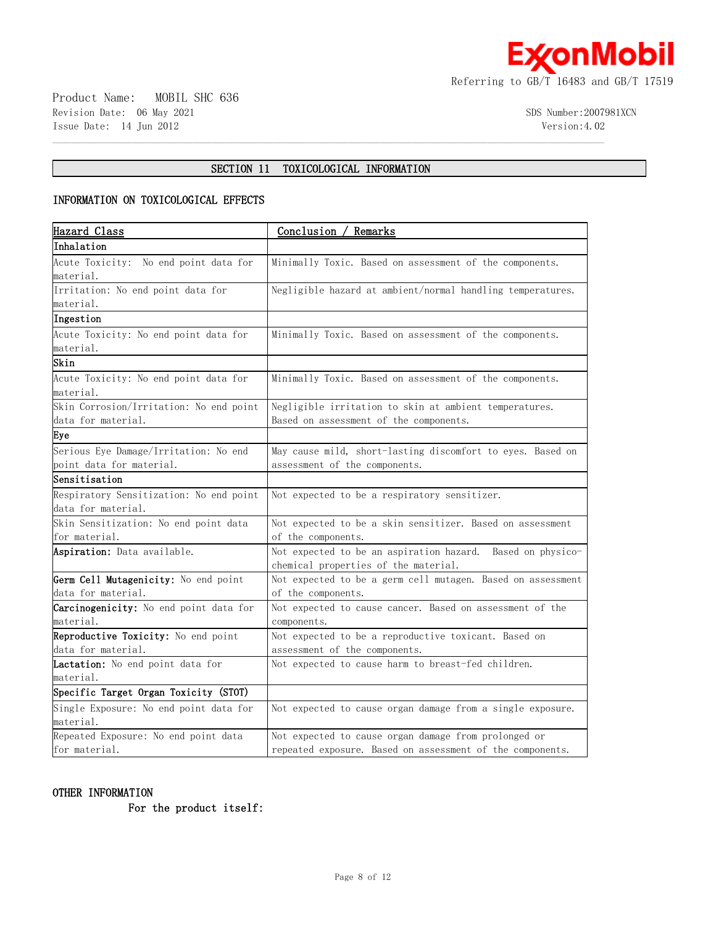

# **SECTION 11 TOXICOLOGICAL INFORMATION**

 $\mathcal{L} = \{ \mathcal{L} = \{ \mathcal{L} = \{ \mathcal{L} = \{ \mathcal{L} = \{ \mathcal{L} = \{ \mathcal{L} = \{ \mathcal{L} = \{ \mathcal{L} = \{ \mathcal{L} = \{ \mathcal{L} = \{ \mathcal{L} = \{ \mathcal{L} = \{ \mathcal{L} = \{ \mathcal{L} = \{ \mathcal{L} = \{ \mathcal{L} = \{ \mathcal{L} = \{ \mathcal{L} = \{ \mathcal{L} = \{ \mathcal{L} = \{ \mathcal{L} = \{ \mathcal{L} = \{ \mathcal{L} = \{ \mathcal{$ 

# **INFORMATION ON TOXICOLOGICAL EFFECTS**

| Hazard Class                                  | Conclusion / Remarks                                        |
|-----------------------------------------------|-------------------------------------------------------------|
| Inhalation                                    |                                                             |
| Acute Toxicity: No end point data for         | Minimally Toxic. Based on assessment of the components.     |
| material.                                     |                                                             |
| Irritation: No end point data for             | Negligible hazard at ambient/normal handling temperatures.  |
| material.                                     |                                                             |
| Ingestion                                     |                                                             |
| Acute Toxicity: No end point data for         | Minimally Toxic. Based on assessment of the components.     |
| material.                                     |                                                             |
| Skin                                          |                                                             |
| Acute Toxicity: No end point data for         | Minimally Toxic. Based on assessment of the components.     |
| material.                                     |                                                             |
| Skin Corrosion/Irritation: No end point       | Negligible irritation to skin at ambient temperatures.      |
| data for material.                            | Based on assessment of the components.                      |
| Eye                                           |                                                             |
| Serious Eye Damage/Irritation: No end         | May cause mild, short-lasting discomfort to eyes. Based on  |
| point data for material.                      | assessment of the components.                               |
| Sensitisation                                 |                                                             |
| Respiratory Sensitization: No end point       | Not expected to be a respiratory sensitizer.                |
| data for material.                            |                                                             |
| Skin Sensitization: No end point data         | Not expected to be a skin sensitizer. Based on assessment   |
| for material.                                 | of the components.                                          |
| Aspiration: Data available.                   | Not expected to be an aspiration hazard. Based on physico-  |
|                                               | chemical properties of the material.                        |
| Germ Cell Mutagenicity: No end point          | Not expected to be a germ cell mutagen. Based on assessment |
| data for material.                            | of the components.                                          |
| <b>Carcinogenicity:</b> No end point data for | Not expected to cause cancer. Based on assessment of the    |
| material.                                     | components.                                                 |
| Reproductive Toxicity: No end point           | Not expected to be a reproductive toxicant. Based on        |
| data for material.                            | assessment of the components.                               |
| Lactation: No end point data for              | Not expected to cause harm to breast-fed children.          |
| material.                                     |                                                             |
| Specific Target Organ Toxicity (STOT)         |                                                             |
| Single Exposure: No end point data for        | Not expected to cause organ damage from a single exposure.  |
| material.                                     |                                                             |
| Repeated Exposure: No end point data          | Not expected to cause organ damage from prolonged or        |
| for material.                                 | repeated exposure. Based on assessment of the components.   |

# **OTHER INFORMATION**

 **For the product itself:**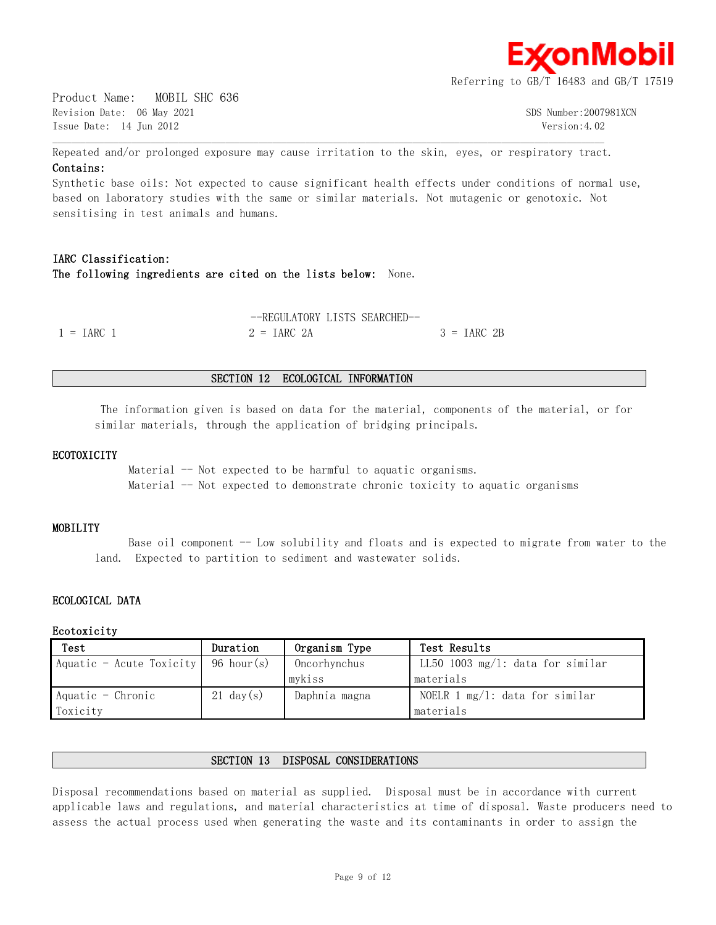

Product Name: MOBIL SHC 636 Revision Date: 06 May 2021 300 Supplement of the Supplement of the Supplement of Supplement Supplement of Supplement Supplement Supplement Supplement Supplement Supplement Supplement Supplement Supplement Supplement Supple Issue Date: 14 Jun 2012 Version:4.02

Repeated and/or prolonged exposure may cause irritation to the skin, eyes, or respiratory tract. **Contains:**

 $\mathcal{L} = \{ \mathcal{L} = \{ \mathcal{L} = \{ \mathcal{L} = \{ \mathcal{L} = \{ \mathcal{L} = \{ \mathcal{L} = \{ \mathcal{L} = \{ \mathcal{L} = \{ \mathcal{L} = \{ \mathcal{L} = \{ \mathcal{L} = \{ \mathcal{L} = \{ \mathcal{L} = \{ \mathcal{L} = \{ \mathcal{L} = \{ \mathcal{L} = \{ \mathcal{L} = \{ \mathcal{L} = \{ \mathcal{L} = \{ \mathcal{L} = \{ \mathcal{L} = \{ \mathcal{L} = \{ \mathcal{L} = \{ \mathcal{$ 

Synthetic base oils: Not expected to cause significant health effects under conditions of normal use, based on laboratory studies with the same or similar materials. Not mutagenic or genotoxic. Not sensitising in test animals and humans.

# **IARC Classification: The following ingredients are cited on the lists below:** None.

|                     | --REGULATORY LISTS SEARCHED- |               |
|---------------------|------------------------------|---------------|
| $1 = \text{IARC}$ 1 | $2 = IARC 2A$                | $3 = IARC$ 2B |

#### **SECTION 12 ECOLOGICAL INFORMATION**

 The information given is based on data for the material, components of the material, or for similar materials, through the application of bridging principals.

#### **ECOTOXICITY**

Material  $-$  Not expected to be harmful to aquatic organisms. Material -- Not expected to demonstrate chronic toxicity to aquatic organisms

#### **MOBILITY**

Base oil component  $-$  Low solubility and floats and is expected to migrate from water to the land. Expected to partition to sediment and wastewater solids.

# **ECOLOGICAL DATA**

#### **Ecotoxicity**

| Test                                  | Duration            | Organism Type | Test Results                      |
|---------------------------------------|---------------------|---------------|-----------------------------------|
| Aquatic - Acute Toxicity   96 hour(s) |                     | Oncorhynchus  | LL50 1003 mg/l: data for similar  |
|                                       |                     | mykiss        | materials                         |
| $A$ quatic - Chronic                  | $21 \text{ day}(s)$ | Daphnia magna | NOELR 1 $mg/1$ : data for similar |
| Toxicity                              |                     |               | materials                         |

#### **SECTION 13 DISPOSAL CONSIDERATIONS**

Disposal recommendations based on material as supplied. Disposal must be in accordance with current applicable laws and regulations, and material characteristics at time of disposal. Waste producers need to assess the actual process used when generating the waste and its contaminants in order to assign the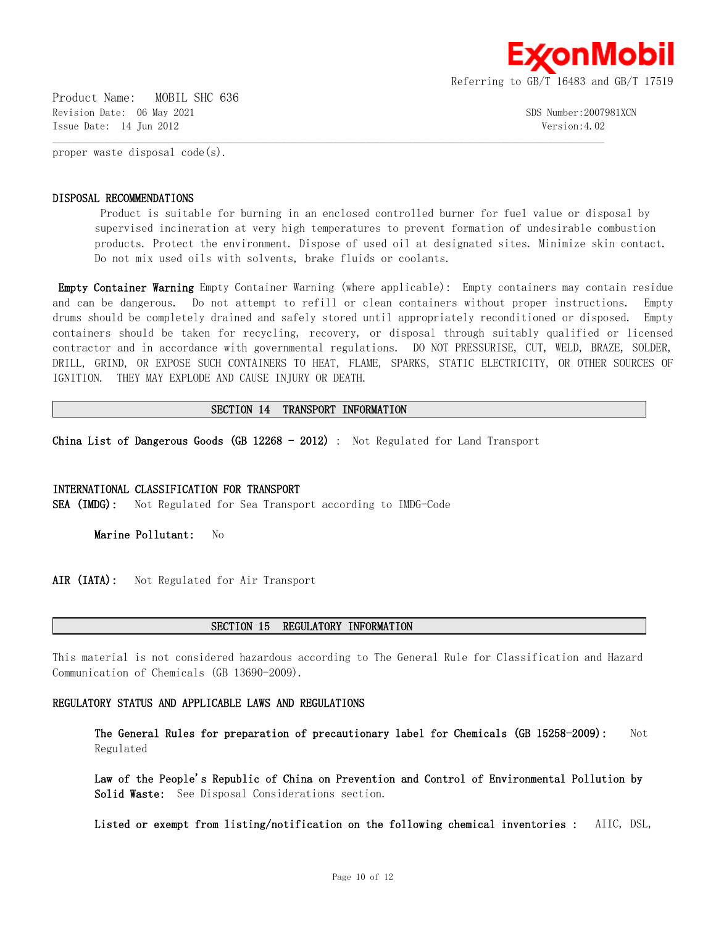

Product Name: MOBIL SHC 636 Revision Date: 06 May 2021 SDS Number:2007981XCN Issue Date: 14 Jun 2012 Version:4.02

proper waste disposal code(s).

#### **DISPOSAL RECOMMENDATIONS**

 Product is suitable for burning in an enclosed controlled burner for fuel value or disposal by supervised incineration at very high temperatures to prevent formation of undesirable combustion products. Protect the environment. Dispose of used oil at designated sites. Minimize skin contact. Do not mix used oils with solvents, brake fluids or coolants.

**Empty Container Warning** Empty Container Warning (where applicable): Empty containers may contain residue and can be dangerous. Do not attempt to refill or clean containers without proper instructions. Empty drums should be completely drained and safely stored until appropriately reconditioned or disposed. Empty containers should be taken for recycling, recovery, or disposal through suitably qualified or licensed contractor and in accordance with governmental regulations. DO NOT PRESSURISE, CUT, WELD, BRAZE, SOLDER, DRILL, GRIND, OR EXPOSE SUCH CONTAINERS TO HEAT, FLAME, SPARKS, STATIC ELECTRICITY, OR OTHER SOURCES OF IGNITION. THEY MAY EXPLODE AND CAUSE INJURY OR DEATH.

#### **SECTION 14 TRANSPORT INFORMATION**

 $\mathcal{L} = \{ \mathcal{L} = \{ \mathcal{L} = \{ \mathcal{L} = \{ \mathcal{L} = \{ \mathcal{L} = \{ \mathcal{L} = \{ \mathcal{L} = \{ \mathcal{L} = \{ \mathcal{L} = \{ \mathcal{L} = \{ \mathcal{L} = \{ \mathcal{L} = \{ \mathcal{L} = \{ \mathcal{L} = \{ \mathcal{L} = \{ \mathcal{L} = \{ \mathcal{L} = \{ \mathcal{L} = \{ \mathcal{L} = \{ \mathcal{L} = \{ \mathcal{L} = \{ \mathcal{L} = \{ \mathcal{L} = \{ \mathcal{$ 

**China List of Dangerous Goods (GB 12268 - 2012)** : Not Regulated for Land Transport

#### **INTERNATIONAL CLASSIFICATION FOR TRANSPORT**

**SEA (IMDG):** Not Regulated for Sea Transport according to IMDG-Code

**Marine Pollutant:** No

AIR (IATA): Not Regulated for Air Transport

#### **SECTION 15 REGULATORY INFORMATION**

This material is not considered hazardous according to The General Rule for Classification and Hazard Communication of Chemicals (GB 13690-2009).

#### **REGULATORY STATUS AND APPLICABLE LAWS AND REGULATIONS**

**The General Rules for preparation of precautionary label for Chemicals (GB 15258-2009):** Not Regulated

**Law of the People's Republic of China on Prevention and Control of Environmental Pollution by Solid Waste:** See Disposal Considerations section.

**Listed or exempt from listing/notification on the following chemical inventories :** AIIC, DSL,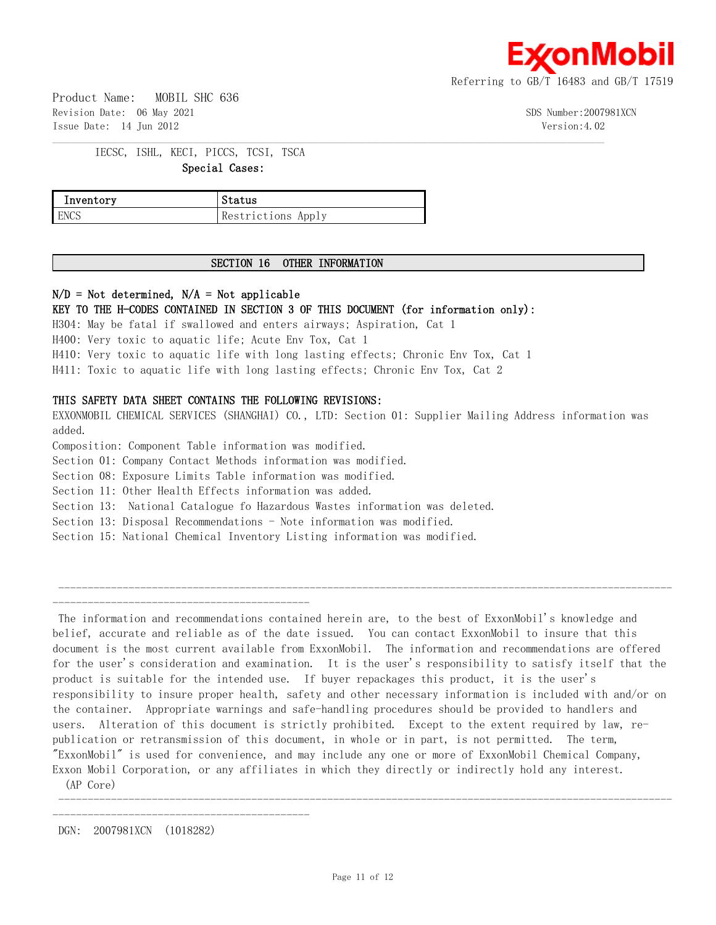

Product Name: MOBIL SHC 636 Revision Date: 06 May 2021 300 Supplement of the Supplement of the Supplement of Supplement Supplement of Supplement Supplement Supplement Supplement Supplement Supplement Supplement Supplement Supplement Supplement Supple Issue Date: 14 Jun 2012 Version:4.02

IECSC, ISHL, KECI, PICCS, TCSI, TSCA  **Special Cases:**

| Inventory | Status             |
|-----------|--------------------|
| ENCS      | Restrictions Apply |

# **SECTION 16 OTHER INFORMATION**

 $\mathcal{L} = \{ \mathcal{L} = \{ \mathcal{L} = \{ \mathcal{L} = \{ \mathcal{L} = \{ \mathcal{L} = \{ \mathcal{L} = \{ \mathcal{L} = \{ \mathcal{L} = \{ \mathcal{L} = \{ \mathcal{L} = \{ \mathcal{L} = \{ \mathcal{L} = \{ \mathcal{L} = \{ \mathcal{L} = \{ \mathcal{L} = \{ \mathcal{L} = \{ \mathcal{L} = \{ \mathcal{L} = \{ \mathcal{L} = \{ \mathcal{L} = \{ \mathcal{L} = \{ \mathcal{L} = \{ \mathcal{L} = \{ \mathcal{$ 

# **N/D = Not determined, N/A = Not applicable**

# **KEY TO THE H-CODES CONTAINED IN SECTION 3 OF THIS DOCUMENT (for information only):**

H304: May be fatal if swallowed and enters airways; Aspiration, Cat 1 H400: Very toxic to aquatic life; Acute Env Tox, Cat 1 H410: Very toxic to aquatic life with long lasting effects; Chronic Env Tox, Cat 1 H411: Toxic to aquatic life with long lasting effects; Chronic Env Tox, Cat 2

# **THIS SAFETY DATA SHEET CONTAINS THE FOLLOWING REVISIONS:**

EXXONMOBIL CHEMICAL SERVICES (SHANGHAI) CO., LTD: Section 01: Supplier Mailing Address information was added.

Composition: Component Table information was modified.

Section 01: Company Contact Methods information was modified.

Section 08: Exposure Limits Table information was modified.

Section 11: Other Health Effects information was added.

Section 13: National Catalogue fo Hazardous Wastes information was deleted.

Section 13: Disposal Recommendations - Note information was modified.

Section 15: National Chemical Inventory Listing information was modified.

 --------------------------------------------------------------------------------------------------------- --------------------------------------------

 The information and recommendations contained herein are, to the best of ExxonMobil's knowledge and belief, accurate and reliable as of the date issued. You can contact ExxonMobil to insure that this document is the most current available from ExxonMobil. The information and recommendations are offered for the user's consideration and examination. It is the user's responsibility to satisfy itself that the product is suitable for the intended use. If buyer repackages this product, it is the user's responsibility to insure proper health, safety and other necessary information is included with and/or on the container. Appropriate warnings and safe-handling procedures should be provided to handlers and users. Alteration of this document is strictly prohibited. Except to the extent required by law, republication or retransmission of this document, in whole or in part, is not permitted. The term, "ExxonMobil" is used for convenience, and may include any one or more of ExxonMobil Chemical Company, Exxon Mobil Corporation, or any affiliates in which they directly or indirectly hold any interest.

(AP Core)

DGN: 2007981XCN (1018282)

--------------------------------------------

---------------------------------------------------------------------------------------------------------